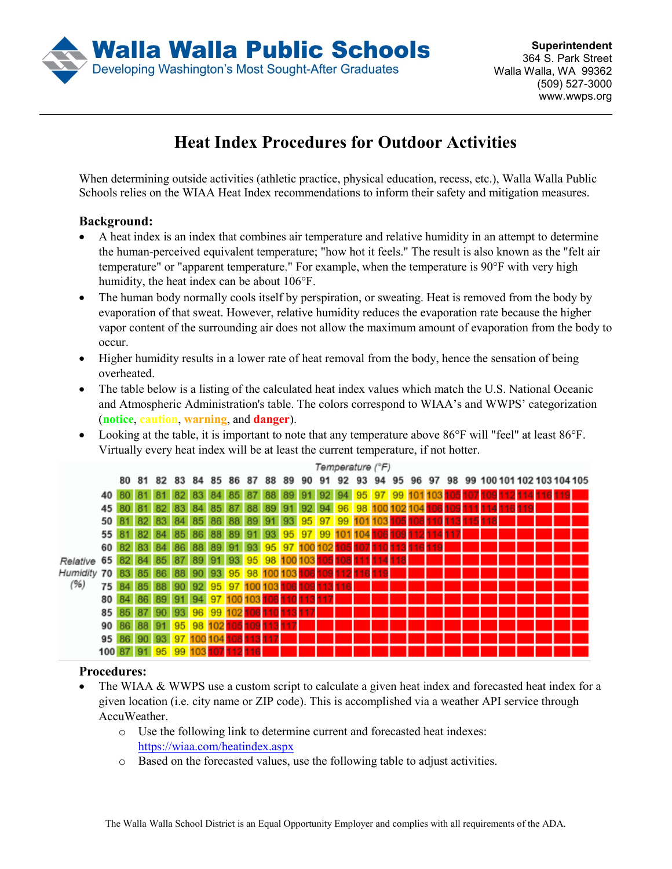

## **Heat Index Procedures for Outdoor Activities**

When determining outside activities (athletic practice, physical education, recess, etc.), Walla Walla Public Schools relies on the WIAA Heat Index recommendations to inform their safety and mitigation measures.

## **Background:**

- A heat index is an index that combines air temperature and relative humidity in an attempt to determine the human-perceived equivalent temperature; "how hot it feels." The result is also known as the "felt air temperature" or "apparent temperature." For example, when the temperature is 90°F with very high humidity, the heat index can be about 106°F.
- The human body normally cools itself by perspiration, or sweating. Heat is removed from the body by evaporation of that sweat. However, relative humidity reduces the evaporation rate because the higher vapor content of the surrounding air does not allow the maximum amount of evaporation from the body to occur.
- Higher humidity results in a lower rate of heat removal from the body, hence the sensation of being overheated.
- The table below is a listing of the calculated heat index values which match the U.S. National Oceanic and Atmospheric Administration's table. The colors correspond to WIAA's and WWPS' categorization (**notice**, **caution**, **warning**, and **danger**).
- Looking at the table, it is important to note that any temperature above 86°F will "feel" at least 86°F. Virtually every heat index will be at least the current temperature, if not hotter.

|                                   |                  |    |       |    |        |      |       |                |       |                         |    |       |    | Temperature (°F)                    |    |    |    |                         |  |     |  |  |                                     |  |
|-----------------------------------|------------------|----|-------|----|--------|------|-------|----------------|-------|-------------------------|----|-------|----|-------------------------------------|----|----|----|-------------------------|--|-----|--|--|-------------------------------------|--|
|                                   |                  | 80 | 81    | 82 | 83     | 8485 |       |                | 86 87 | 88                      | 89 | 90    | 91 | 92                                  | 93 | 94 | 95 |                         |  |     |  |  | 96 97 98 99 100 101 102 103 104 105 |  |
| Relative 65<br>Humidity 70<br>(%) | 40               |    |       |    |        |      | 84    | 85             | 87    | 88                      | 89 | 91.   | 92 |                                     |    |    |    | 94 95 97 99 101 103 105 |  | 107 |  |  |                                     |  |
|                                   | 45               |    | 81 82 |    | 83     | 84   | 85    | 87 88          |       | 89                      |    | 91 92 | 94 |                                     |    |    |    | 96 98 100 102 104       |  |     |  |  |                                     |  |
|                                   | 50               |    | 82    | 83 | 84     | 85   |       |                |       |                         |    |       |    | 86 88 89 91 93 95 97 99 101 103 105 |    |    |    |                         |  |     |  |  |                                     |  |
|                                   | 55               |    | 82 84 |    | 85     | 86   |       | 88 89          |       | 91 93                   |    |       |    | 95 97 99 101 104                    |    |    |    |                         |  |     |  |  |                                     |  |
|                                   | 60               | 82 | 83    | 84 | 86     | 88   | 89    | 91             | 93    | 95 97 100 102           |    |       |    |                                     |    |    |    |                         |  |     |  |  |                                     |  |
|                                   |                  | 82 | 84 85 |    | 87     | 89   |       |                |       | 91 93 95 98 100 103 105 |    |       |    |                                     |    |    |    |                         |  |     |  |  |                                     |  |
|                                   |                  | 83 | 85 86 |    | 88     |      |       |                |       | 90 93 95 98 100 103     |    |       |    |                                     |    |    |    |                         |  |     |  |  |                                     |  |
|                                   | 75 I             |    | 85    |    | $90-1$ |      |       | 92 95 97 100 1 |       | 03                      |    |       |    |                                     |    |    |    |                         |  |     |  |  |                                     |  |
|                                   | 80               | 84 | 86    | 89 | 91     | 94   |       | 97 100         | 103   |                         |    |       |    |                                     |    |    |    |                         |  |     |  |  |                                     |  |
|                                   | 85               |    | 87    | 90 | 93     |      | 96 99 |                |       |                         |    |       |    |                                     |    |    |    |                         |  |     |  |  |                                     |  |
|                                   | 90               |    |       | 91 | 95     | 98   |       |                |       |                         |    |       |    |                                     |    |    |    |                         |  |     |  |  |                                     |  |
|                                   | 95               |    | 90    | 93 | 97     |      |       |                |       |                         |    |       |    |                                     |    |    |    |                         |  |     |  |  |                                     |  |
|                                   | 100 <sup>1</sup> |    |       | 95 |        |      |       |                |       |                         |    |       |    |                                     |    |    |    |                         |  |     |  |  |                                     |  |

## **Procedures:**

- The WIAA & WWPS use a custom script to calculate a given heat index and forecasted heat index for a given location (i.e. city name or ZIP code). This is accomplished via a weather API service through AccuWeather.
	- o Use the following link to determine current and forecasted heat indexes: <https://wiaa.com/heatindex.aspx>
	- o Based on the forecasted values, use the following table to adjust activities.